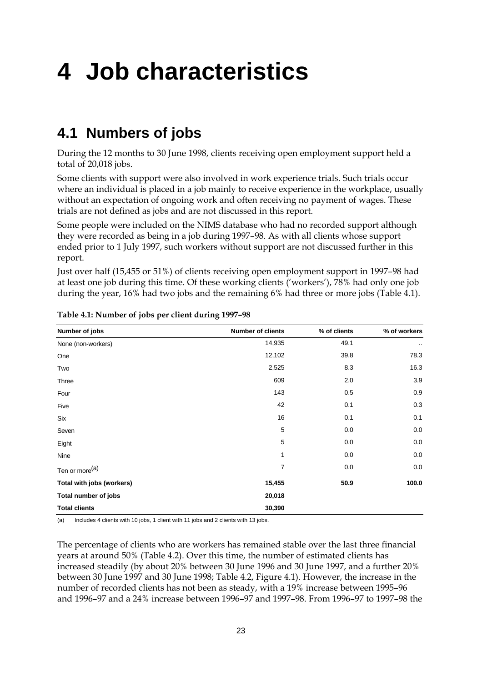# **4 Job characteristics**

# **4.1 Numbers of jobs**

During the 12 months to 30 June 1998, clients receiving open employment support held a total of 20,018 jobs.

Some clients with support were also involved in work experience trials. Such trials occur where an individual is placed in a job mainly to receive experience in the workplace, usually without an expectation of ongoing work and often receiving no payment of wages. These trials are not defined as jobs and are not discussed in this report.

Some people were included on the NIMS database who had no recorded support although they were recorded as being in a job during 1997–98. As with all clients whose support ended prior to 1 July 1997, such workers without support are not discussed further in this report.

Just over half (15,455 or 51%) of clients receiving open employment support in 1997–98 had at least one job during this time. Of these working clients ('workers'), 78% had only one job during the year, 16% had two jobs and the remaining 6% had three or more jobs (Table 4.1).

| Number of jobs             | <b>Number of clients</b> | % of clients | % of workers        |
|----------------------------|--------------------------|--------------|---------------------|
| None (non-workers)         | 14,935                   | 49.1         | $\bullet$ $\bullet$ |
| One                        | 12,102                   | 39.8         | 78.3                |
| Two                        | 2,525                    | 8.3          | 16.3                |
| Three                      | 609                      | 2.0          | 3.9                 |
| Four                       | 143                      | 0.5          | 0.9                 |
| Five                       | 42                       | 0.1          | 0.3                 |
| Six                        | 16                       | 0.1          | 0.1                 |
| Seven                      | $\,$ 5 $\,$              | 0.0          | 0.0                 |
| Eight                      | 5                        | 0.0          | 0.0                 |
| Nine                       | 1                        | 0.0          | 0.0                 |
| Ten or more <sup>(a)</sup> | $\overline{7}$           | 0.0          | 0.0                 |
| Total with jobs (workers)  | 15,455                   | 50.9         | 100.0               |
| Total number of jobs       | 20,018                   |              |                     |
| <b>Total clients</b>       | 30,390                   |              |                     |

**Table 4.1: Number of jobs per client during 1997–98**

(a) Includes 4 clients with 10 jobs, 1 client with 11 jobs and 2 clients with 13 jobs.

The percentage of clients who are workers has remained stable over the last three financial years at around 50% (Table 4.2). Over this time, the number of estimated clients has increased steadily (by about 20% between 30 June 1996 and 30 June 1997, and a further 20% between 30 June 1997 and 30 June 1998; Table 4.2, Figure 4.1). However, the increase in the number of recorded clients has not been as steady, with a 19% increase between 1995–96 and 1996–97 and a 24% increase between 1996–97 and 1997–98. From 1996–97 to 1997–98 the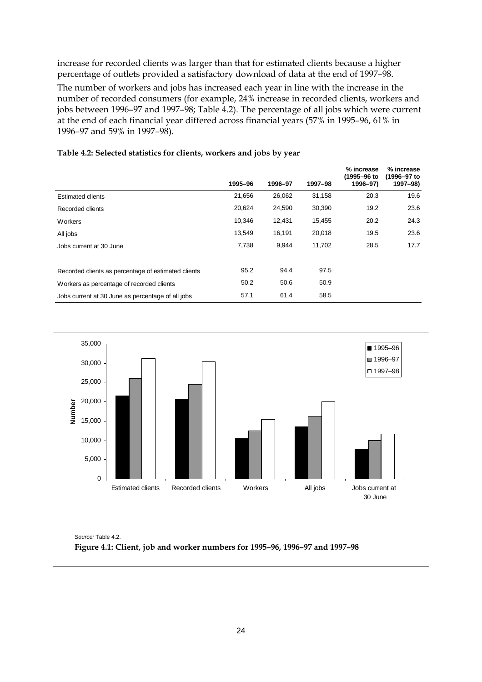increase for recorded clients was larger than that for estimated clients because a higher percentage of outlets provided a satisfactory download of data at the end of 1997–98.

The number of workers and jobs has increased each year in line with the increase in the number of recorded consumers (for example, 24% increase in recorded clients, workers and jobs between 1996–97 and 1997–98; Table 4.2). The percentage of all jobs which were current at the end of each financial year differed across financial years (57% in 1995–96, 61% in 1996–97 and 59% in 1997–98).

|                                                     |         |         |         | % increase<br>(1995-96 to | % increase<br>(1996-97 to |
|-----------------------------------------------------|---------|---------|---------|---------------------------|---------------------------|
|                                                     | 1995-96 | 1996-97 | 1997-98 | 1996-97)                  | 1997-98)                  |
| <b>Estimated clients</b>                            | 21,656  | 26,062  | 31,158  | 20.3                      | 19.6                      |
| Recorded clients                                    | 20,624  | 24,590  | 30,390  | 19.2                      | 23.6                      |
| Workers                                             | 10,346  | 12,431  | 15,455  | 20.2                      | 24.3                      |
| All jobs                                            | 13,549  | 16,191  | 20,018  | 19.5                      | 23.6                      |
| Jobs current at 30 June                             | 7,738   | 9,944   | 11,702  | 28.5                      | 17.7                      |
|                                                     |         |         |         |                           |                           |
| Recorded clients as percentage of estimated clients | 95.2    | 94.4    | 97.5    |                           |                           |
| Workers as percentage of recorded clients           | 50.2    | 50.6    | 50.9    |                           |                           |
| Jobs current at 30 June as percentage of all jobs   | 57.1    | 61.4    | 58.5    |                           |                           |

#### **Table 4.2: Selected statistics for clients, workers and jobs by year**

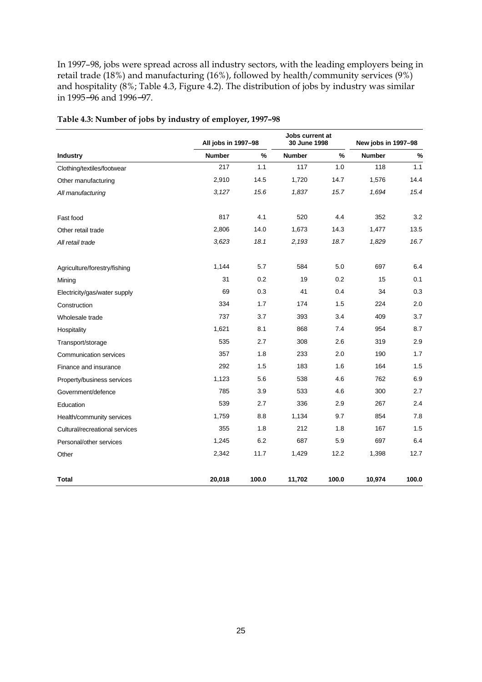In 1997–98, jobs were spread across all industry sectors, with the leading employers being in retail trade (18%) and manufacturing (16%), followed by health/community services (9%) and hospitality (8%; Table 4.3, Figure 4.2). The distribution of jobs by industry was similar in 1995−96 and 1996−97.

|                                | All jobs in 1997-98 |       | Jobs current at<br>30 June 1998 |       | New jobs in 1997-98 |       |  |
|--------------------------------|---------------------|-------|---------------------------------|-------|---------------------|-------|--|
| Industry                       | <b>Number</b>       | %     | <b>Number</b>                   | $\%$  | <b>Number</b>       | %     |  |
| Clothing/textiles/footwear     | 217                 | 1.1   | 117                             | 1.0   | 118                 | 1.1   |  |
| Other manufacturing            | 2,910               | 14.5  | 1,720                           | 14.7  | 1,576               | 14.4  |  |
| All manufacturing              | 3,127               | 15.6  | 1,837                           | 15.7  | 1,694               | 15.4  |  |
| Fast food                      | 817                 | 4.1   | 520                             | 4.4   | 352                 | 3.2   |  |
| Other retail trade             | 2,806               | 14.0  | 1,673                           | 14.3  | 1,477               | 13.5  |  |
| All retail trade               | 3,623               | 18.1  | 2,193                           | 18.7  | 1,829               | 16.7  |  |
| Agriculture/forestry/fishing   | 1,144               | 5.7   | 584                             | 5.0   | 697                 | 6.4   |  |
| Mining                         | 31                  | 0.2   | 19                              | 0.2   | 15                  | 0.1   |  |
| Electricity/gas/water supply   | 69                  | 0.3   | 41                              | 0.4   | 34                  | 0.3   |  |
| Construction                   | 334                 | 1.7   | 174                             | 1.5   | 224                 | 2.0   |  |
| Wholesale trade                | 737                 | 3.7   | 393                             | 3.4   | 409                 | 3.7   |  |
| Hospitality                    | 1,621               | 8.1   | 868                             | 7.4   | 954                 | 8.7   |  |
| Transport/storage              | 535                 | 2.7   | 308                             | 2.6   | 319                 | 2.9   |  |
| <b>Communication services</b>  | 357                 | 1.8   | 233                             | 2.0   | 190                 | 1.7   |  |
| Finance and insurance          | 292                 | 1.5   | 183                             | 1.6   | 164                 | 1.5   |  |
| Property/business services     | 1,123               | 5.6   | 538                             | 4.6   | 762                 | 6.9   |  |
| Government/defence             | 785                 | 3.9   | 533                             | 4.6   | 300                 | 2.7   |  |
| Education                      | 539                 | 2.7   | 336                             | 2.9   | 267                 | 2.4   |  |
| Health/community services      | 1,759               | 8.8   | 1,134                           | 9.7   | 854                 | 7.8   |  |
| Cultural/recreational services | 355                 | 1.8   | 212                             | 1.8   | 167                 | 1.5   |  |
| Personal/other services        | 1,245               | 6.2   | 687                             | 5.9   | 697                 | 6.4   |  |
| Other                          | 2,342               | 11.7  | 1,429                           | 12.2  | 1,398               | 12.7  |  |
| Total                          | 20,018              | 100.0 | 11,702                          | 100.0 | 10,974              | 100.0 |  |

#### **Table 4.3: Number of jobs by industry of employer, 1997–98**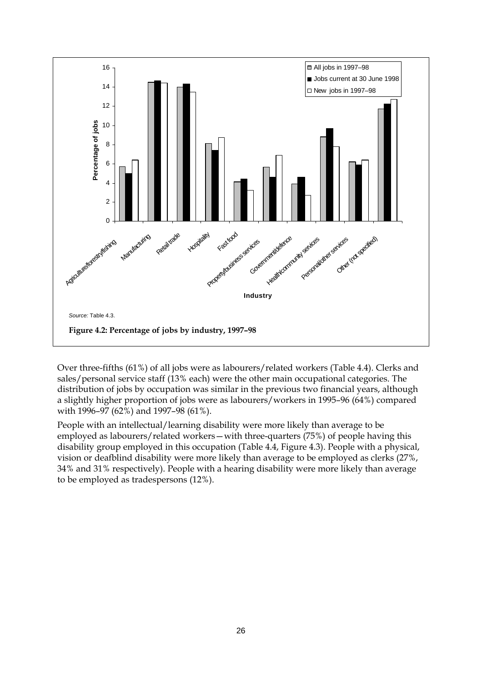

Over three-fifths (61%) of all jobs were as labourers/related workers (Table 4.4). Clerks and sales/personal service staff (13% each) were the other main occupational categories. The distribution of jobs by occupation was similar in the previous two financial years, although a slightly higher proportion of jobs were as labourers/workers in 1995–96 (64%) compared with 1996–97 (62%) and 1997–98 (61%).

People with an intellectual/learning disability were more likely than average to be employed as labourers/related workers—with three-quarters (75%) of people having this disability group employed in this occupation (Table 4.4, Figure 4.3). People with a physical, vision or deafblind disability were more likely than average to be employed as clerks (27%, 34% and 31% respectively). People with a hearing disability were more likely than average to be employed as tradespersons (12%).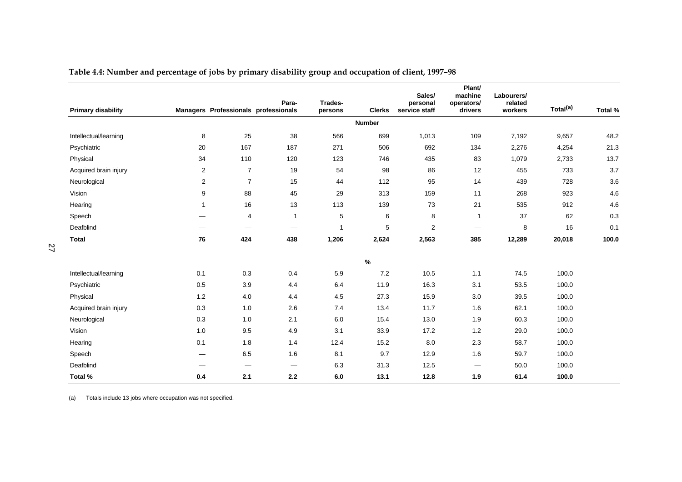|                           |                |                                      |                                 |                    |               | Sales/                    | Plant/<br>machine               | Labourers/         |                      |         |
|---------------------------|----------------|--------------------------------------|---------------------------------|--------------------|---------------|---------------------------|---------------------------------|--------------------|----------------------|---------|
| <b>Primary disability</b> |                | Managers Professionals professionals | Para-                           | Trades-<br>persons | <b>Clerks</b> | personal<br>service staff | operators/<br>drivers           | related<br>workers | Total <sup>(a)</sup> | Total % |
|                           |                |                                      |                                 |                    | <b>Number</b> |                           |                                 |                    |                      |         |
| Intellectual/learning     | 8              | 25                                   | 38                              | 566                | 699           | 1,013                     | 109                             | 7,192              | 9,657                | 48.2    |
| Psychiatric               | 20             | 167                                  | 187                             | 271                | 506           | 692                       | 134                             | 2,276              | 4,254                | 21.3    |
| Physical                  | 34             | 110                                  | 120                             | 123                | 746           | 435                       | 83                              | 1,079              | 2,733                | 13.7    |
| Acquired brain injury     | $\overline{2}$ | $\overline{7}$                       | 19                              | 54                 | 98            | 86                        | 12                              | 455                | 733                  | 3.7     |
| Neurological              | 2              | $\overline{7}$                       | 15                              | 44                 | 112           | 95                        | 14                              | 439                | 728                  | 3.6     |
| Vision                    | 9              | 88                                   | 45                              | 29                 | 313           | 159                       | 11                              | 268                | 923                  | 4.6     |
| Hearing                   | $\mathbf{1}$   | 16                                   | 13                              | 113                | 139           | 73                        | 21                              | 535                | 912                  | 4.6     |
| Speech                    | —              | 4                                    | $\overline{1}$                  | 5                  | $\,6$         | 8                         | $\mathbf{1}$                    | 37                 | 62                   | 0.3     |
| Deafblind                 |                |                                      |                                 | 1                  | 5             | $\overline{2}$            | $\hspace{0.1mm}-\hspace{0.1mm}$ | 8                  | 16                   | 0.1     |
| <b>Total</b>              | 76             | 424                                  | 438                             | 1,206              | 2,624         | 2,563                     | 385                             | 12,289             | 20,018               | 100.0   |
|                           |                |                                      |                                 |                    | $\%$          |                           |                                 |                    |                      |         |
| Intellectual/learning     | 0.1            | 0.3                                  | 0.4                             | $5.9\,$            | $7.2\,$       | 10.5                      | 1.1                             | 74.5               | 100.0                |         |
| Psychiatric               | 0.5            | 3.9                                  | 4.4                             | 6.4                | 11.9          | 16.3                      | 3.1                             | 53.5               | 100.0                |         |
| Physical                  | 1.2            | 4.0                                  | 4.4                             | 4.5                | 27.3          | 15.9                      | 3.0                             | 39.5               | 100.0                |         |
| Acquired brain injury     | 0.3            | 1.0                                  | 2.6                             | 7.4                | 13.4          | 11.7                      | 1.6                             | 62.1               | 100.0                |         |
| Neurological              | 0.3            | 1.0                                  | 2.1                             | 6.0                | 15.4          | 13.0                      | 1.9                             | 60.3               | 100.0                |         |
| Vision                    | 1.0            | 9.5                                  | 4.9                             | 3.1                | 33.9          | 17.2                      | 1.2                             | 29.0               | 100.0                |         |
| Hearing                   | 0.1            | 1.8                                  | 1.4                             | 12.4               | 15.2          | 8.0                       | 2.3                             | 58.7               | 100.0                |         |
| Speech                    | –              | 6.5                                  | 1.6                             | 8.1                | 9.7           | 12.9                      | 1.6                             | 59.7               | 100.0                |         |
| Deafblind                 |                | $\hspace{0.1mm}-\hspace{0.1mm}$      | $\hspace{0.1mm}-\hspace{0.1mm}$ | 6.3                | 31.3          | 12.5                      | $\hspace{0.1mm}-\hspace{0.1mm}$ | 50.0               | 100.0                |         |
| Total %                   | 0.4            | 2.1                                  | 2.2                             | 6.0                | 13.1          | 12.8                      | 1.9                             | 61.4               | 100.0                |         |

**Table 4.4: Number and percentage of jobs by primary disability group and occupation of client, 1997–98**

(a) Totals include 13 jobs where occupation was not specified.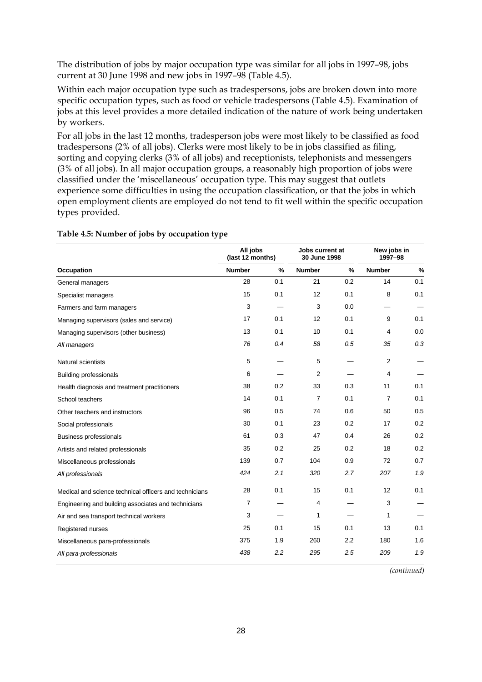The distribution of jobs by major occupation type was similar for all jobs in 1997–98, jobs current at 30 June 1998 and new jobs in 1997–98 (Table 4.5).

Within each major occupation type such as tradespersons, jobs are broken down into more specific occupation types, such as food or vehicle tradespersons (Table 4.5). Examination of jobs at this level provides a more detailed indication of the nature of work being undertaken by workers.

For all jobs in the last 12 months, tradesperson jobs were most likely to be classified as food tradespersons (2% of all jobs). Clerks were most likely to be in jobs classified as filing, sorting and copying clerks (3% of all jobs) and receptionists, telephonists and messengers (3% of all jobs). In all major occupation groups, a reasonably high proportion of jobs were classified under the 'miscellaneous' occupation type. This may suggest that outlets experience some difficulties in using the occupation classification, or that the jobs in which open employment clients are employed do not tend to fit well within the specific occupation types provided.

|                                                        | All jobs<br>(last 12 months) |               | Jobs current at<br>30 June 1998 |     | New jobs in<br>1997-98 |     |
|--------------------------------------------------------|------------------------------|---------------|---------------------------------|-----|------------------------|-----|
| <b>Occupation</b>                                      | <b>Number</b>                | $\frac{0}{0}$ | <b>Number</b>                   | %   | <b>Number</b>          | %   |
| General managers                                       | 28                           | 0.1           | 21                              | 0.2 | 14                     | 0.1 |
| Specialist managers                                    | 15                           | 0.1           | 12                              | 0.1 | 8                      | 0.1 |
| Farmers and farm managers                              | 3                            |               | 3                               | 0.0 |                        |     |
| Managing supervisors (sales and service)               | 17                           | 0.1           | 12                              | 0.1 | 9                      | 0.1 |
| Managing supervisors (other business)                  | 13                           | 0.1           | 10                              | 0.1 | 4                      | 0.0 |
| All managers                                           | 76                           | 0.4           | 58                              | 0.5 | 35                     | 0.3 |
| Natural scientists                                     | 5                            |               | 5                               |     | $\overline{2}$         |     |
| <b>Building professionals</b>                          | 6                            |               | 2                               |     | 4                      |     |
| Health diagnosis and treatment practitioners           | 38                           | 0.2           | 33                              | 0.3 | 11                     | 0.1 |
| School teachers                                        | 14                           | 0.1           | $\overline{7}$                  | 0.1 | $\overline{7}$         | 0.1 |
| Other teachers and instructors                         | 96                           | 0.5           | 74                              | 0.6 | 50                     | 0.5 |
| Social professionals                                   | 30                           | 0.1           | 23                              | 0.2 | 17                     | 0.2 |
| <b>Business professionals</b>                          | 61                           | 0.3           | 47                              | 0.4 | 26                     | 0.2 |
| Artists and related professionals                      | 35                           | 0.2           | 25                              | 0.2 | 18                     | 0.2 |
| Miscellaneous professionals                            | 139                          | 0.7           | 104                             | 0.9 | 72                     | 0.7 |
| All professionals                                      | 424                          | 2.1           | 320                             | 2.7 | 207                    | 1.9 |
| Medical and science technical officers and technicians | 28                           | 0.1           | 15                              | 0.1 | 12                     | 0.1 |
| Engineering and building associates and technicians    | $\overline{7}$               |               | $\overline{4}$                  |     | 3                      |     |
| Air and sea transport technical workers                | 3                            |               | 1                               |     | 1                      |     |
| Registered nurses                                      | 25                           | 0.1           | 15                              | 0.1 | 13                     | 0.1 |
| Miscellaneous para-professionals                       | 375                          | 1.9           | 260                             | 2.2 | 180                    | 1.6 |
| All para-professionals                                 | 438                          | 2.2           | 295                             | 2.5 | 209                    | 1.9 |

#### **Table 4.5: Number of jobs by occupation type**

*(continued)*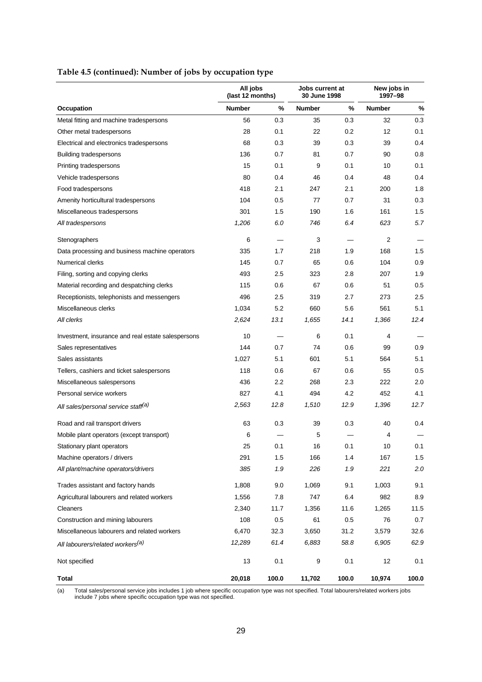|                                                    | All jobs<br>(last 12 months) |       | Jobs current at<br>30 June 1998 |       | New jobs in<br>1997-98 |       |
|----------------------------------------------------|------------------------------|-------|---------------------------------|-------|------------------------|-------|
| Occupation                                         | <b>Number</b>                | %     | <b>Number</b>                   | %     | <b>Number</b>          | %     |
| Metal fitting and machine tradespersons            | 56                           | 0.3   | 35                              | 0.3   | 32                     | 0.3   |
| Other metal tradespersons                          | 28                           | 0.1   | 22                              | 0.2   | 12                     | 0.1   |
| Electrical and electronics tradespersons           | 68                           | 0.3   | 39                              | 0.3   | 39                     | 0.4   |
| Building tradespersons                             | 136                          | 0.7   | 81                              | 0.7   | 90                     | 0.8   |
| Printing tradespersons                             | 15                           | 0.1   | 9                               | 0.1   | 10                     | 0.1   |
| Vehicle tradespersons                              | 80                           | 0.4   | 46                              | 0.4   | 48                     | 0.4   |
| Food tradespersons                                 | 418                          | 2.1   | 247                             | 2.1   | 200                    | 1.8   |
| Amenity horticultural tradespersons                | 104                          | 0.5   | 77                              | 0.7   | 31                     | 0.3   |
| Miscellaneous tradespersons                        | 301                          | 1.5   | 190                             | 1.6   | 161                    | 1.5   |
| All tradespersons                                  | 1,206                        | 6.0   | 746                             | 6.4   | 623                    | 5.7   |
| Stenographers                                      | 6                            |       | 3                               |       | 2                      |       |
| Data processing and business machine operators     | 335                          | 1.7   | 218                             | 1.9   | 168                    | 1.5   |
| <b>Numerical clerks</b>                            | 145                          | 0.7   | 65                              | 0.6   | 104                    | 0.9   |
| Filing, sorting and copying clerks                 | 493                          | 2.5   | 323                             | 2.8   | 207                    | 1.9   |
| Material recording and despatching clerks          | 115                          | 0.6   | 67                              | 0.6   | 51                     | 0.5   |
| Receptionists, telephonists and messengers         | 496                          | 2.5   | 319                             | 2.7   | 273                    | 2.5   |
| Miscellaneous clerks                               | 1,034                        | 5.2   | 660                             | 5.6   | 561                    | 5.1   |
| All clerks                                         | 2,624                        | 13.1  | 1,655                           | 14.1  | 1,366                  | 12.4  |
| Investment, insurance and real estate salespersons | 10                           |       | 6                               | 0.1   | 4                      |       |
| Sales representatives                              | 144                          | 0.7   | 74                              | 0.6   | 99                     | 0.9   |
| Sales assistants                                   | 1,027                        | 5.1   | 601                             | 5.1   | 564                    | 5.1   |
| Tellers, cashiers and ticket salespersons          | 118                          | 0.6   | 67                              | 0.6   | 55                     | 0.5   |
| Miscellaneous salespersons                         | 436                          | 2.2   | 268                             | 2.3   | 222                    | 2.0   |
| Personal service workers                           | 827                          | 4.1   | 494                             | 4.2   | 452                    | 4.1   |
| All sales/personal service staff <sup>(a)</sup>    | 2,563                        | 12.8  | 1,510                           | 12.9  | 1,396                  | 12.7  |
| Road and rail transport drivers                    | 63                           | 0.3   | 39                              | 0.3   | 40                     | 0.4   |
| Mobile plant operators (except transport)          | 6                            |       | 5                               |       | 4                      |       |
| Stationary plant operators                         | 25                           | 0.1   | 16                              | 0.1   | 10                     | 0.1   |
| Machine operators / drivers                        | 291                          | 1.5   | 166                             | 1.4   | 167                    | 1.5   |
| All plant/machine operators/drivers                | 385                          | 1.9   | 226                             | 1.9   | 221                    | 2.0   |
| Trades assistant and factory hands                 | 1,808                        | 9.0   | 1,069                           | 9.1   | 1,003                  | 9.1   |
| Agricultural labourers and related workers         | 1,556                        | 7.8   | 747                             | 6.4   | 982                    | 8.9   |
| Cleaners                                           | 2,340                        | 11.7  | 1,356                           | 11.6  | 1,265                  | 11.5  |
| Construction and mining labourers                  | 108                          | 0.5   | 61                              | 0.5   | 76                     | 0.7   |
| Miscellaneous labourers and related workers        | 6,470                        | 32.3  | 3,650                           | 31.2  | 3,579                  | 32.6  |
| All labourers/related workers <sup>(a)</sup>       | 12,289                       | 61.4  | 6,883                           | 58.8  | 6,905                  | 62.9  |
| Not specified                                      | 13                           | 0.1   | 9                               | 0.1   | 12                     | 0.1   |
| <b>Total</b>                                       | 20,018                       | 100.0 | 11,702                          | 100.0 | 10,974                 | 100.0 |

### **Table 4.5 (continued): Number of jobs by occupation type**

(a) Total sales/personal service jobs includes 1 job where specific occupation type was not specified. Total labourers/related workers jobs include 7 jobs where specific occupation type was not specified.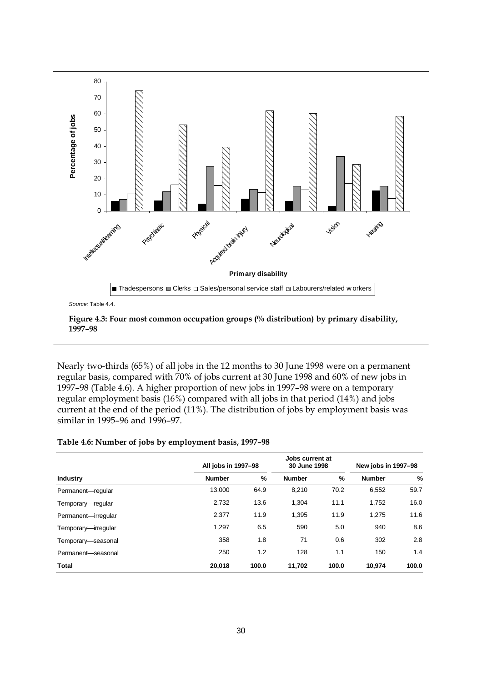

Nearly two-thirds (65%) of all jobs in the 12 months to 30 June 1998 were on a permanent regular basis, compared with 70% of jobs current at 30 June 1998 and 60% of new jobs in 1997–98 (Table 4.6). A higher proportion of new jobs in 1997–98 were on a temporary regular employment basis (16%) compared with all jobs in that period (14%) and jobs current at the end of the period (11%). The distribution of jobs by employment basis was similar in 1995–96 and 1996–97.

#### **Table 4.6: Number of jobs by employment basis, 1997–98**

|                     | All jobs in 1997-98 |       | Jobs current at<br>30 June 1998 |       | New jobs in 1997-98 |       |
|---------------------|---------------------|-------|---------------------------------|-------|---------------------|-------|
| <b>Industry</b>     | <b>Number</b>       | %     | <b>Number</b>                   | %     | <b>Number</b>       | %     |
| Permanent-regular   | 13,000              | 64.9  | 8,210                           | 70.2  | 6,552               | 59.7  |
| Temporary-regular   | 2,732               | 13.6  | 1,304                           | 11.1  | 1,752               | 16.0  |
| Permanent-irregular | 2,377               | 11.9  | 1,395                           | 11.9  | 1,275               | 11.6  |
| Temporary-irregular | 1.297               | 6.5   | 590                             | 5.0   | 940                 | 8.6   |
| Temporary-seasonal  | 358                 | 1.8   | 71                              | 0.6   | 302                 | 2.8   |
| Permanent-seasonal  | 250                 | 1.2   | 128                             | 1.1   | 150                 | 1.4   |
| Total               | 20,018              | 100.0 | 11,702                          | 100.0 | 10,974              | 100.0 |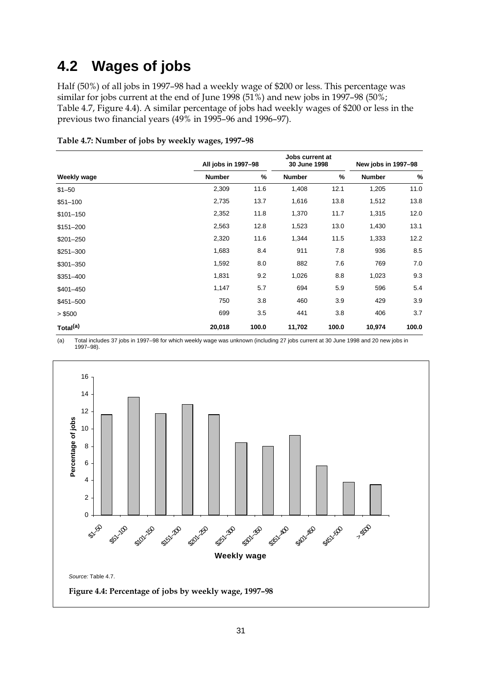# **4.2 Wages of jobs**

Half (50%) of all jobs in 1997–98 had a weekly wage of \$200 or less. This percentage was similar for jobs current at the end of June 1998 (51%) and new jobs in 1997–98 (50%; Table 4.7, Figure 4.4). A similar percentage of jobs had weekly wages of \$200 or less in the previous two financial years (49% in 1995–96 and 1996–97).

|                      | All jobs in 1997-98 |               | Jobs current at<br>30 June 1998 |       | New jobs in 1997-98 |       |
|----------------------|---------------------|---------------|---------------------------------|-------|---------------------|-------|
| Weekly wage          | <b>Number</b>       | $\frac{9}{6}$ | <b>Number</b>                   | %     | <b>Number</b>       | $\%$  |
| $$1 - 50$            | 2,309               | 11.6          | 1,408                           | 12.1  | 1,205               | 11.0  |
| $$51 - 100$          | 2,735               | 13.7          | 1,616                           | 13.8  | 1,512               | 13.8  |
| $$101 - 150$         | 2,352               | 11.8          | 1,370                           | 11.7  | 1,315               | 12.0  |
| $$151 - 200$         | 2,563               | 12.8          | 1,523                           | 13.0  | 1,430               | 13.1  |
| $$201 - 250$         | 2,320               | 11.6          | 1,344                           | 11.5  | 1,333               | 12.2  |
| $$251 - 300$         | 1,683               | 8.4           | 911                             | 7.8   | 936                 | 8.5   |
| $$301 - 350$         | 1,592               | 8.0           | 882                             | 7.6   | 769                 | 7.0   |
| $$351 - 400$         | 1,831               | 9.2           | 1,026                           | 8.8   | 1,023               | 9.3   |
| $$401 - 450$         | 1,147               | 5.7           | 694                             | 5.9   | 596                 | 5.4   |
| \$451-500            | 750                 | 3.8           | 460                             | 3.9   | 429                 | 3.9   |
| > \$500              | 699                 | 3.5           | 441                             | 3.8   | 406                 | 3.7   |
| Total <sup>(a)</sup> | 20,018              | 100.0         | 11,702                          | 100.0 | 10,974              | 100.0 |

**Table 4.7: Number of jobs by weekly wages, 1997–98**

(a) Total includes 37 jobs in 1997–98 for which weekly wage was unknown (including 27 jobs current at 30 June 1998 and 20 new jobs in 1997–98).

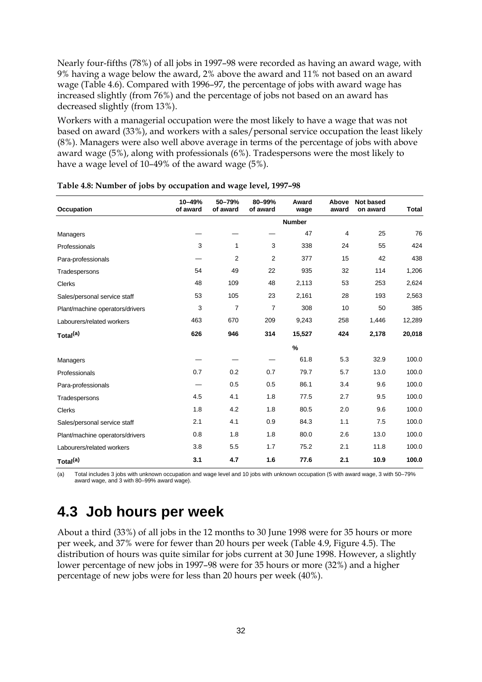Nearly four-fifths (78%) of all jobs in 1997–98 were recorded as having an award wage, with 9% having a wage below the award, 2% above the award and 11% not based on an award wage (Table 4.6). Compared with 1996–97, the percentage of jobs with award wage has increased slightly (from 76%) and the percentage of jobs not based on an award has decreased slightly (from 13%).

Workers with a managerial occupation were the most likely to have a wage that was not based on award (33%), and workers with a sales/personal service occupation the least likely (8%). Managers were also well above average in terms of the percentage of jobs with above award wage (5%), along with professionals (6%). Tradespersons were the most likely to have a wage level of 10–49% of the award wage (5%).

| Occupation                      | 10-49%<br>of award | 50-79%<br>of award | 80-99%<br>of award | Award<br>wage | Above<br>award | <b>Not based</b><br>on award | <b>Total</b> |
|---------------------------------|--------------------|--------------------|--------------------|---------------|----------------|------------------------------|--------------|
|                                 |                    |                    |                    | <b>Number</b> |                |                              |              |
| Managers                        |                    |                    |                    | 47            | 4              | 25                           | 76           |
| Professionals                   | 3                  | 1                  | 3                  | 338           | 24             | 55                           | 424          |
| Para-professionals              |                    | $\overline{2}$     | 2                  | 377           | 15             | 42                           | 438          |
| Tradespersons                   | 54                 | 49                 | 22                 | 935           | 32             | 114                          | 1,206        |
| <b>Clerks</b>                   | 48                 | 109                | 48                 | 2,113         | 53             | 253                          | 2,624        |
| Sales/personal service staff    | 53                 | 105                | 23                 | 2,161         | 28             | 193                          | 2,563        |
| Plant/machine operators/drivers | 3                  | $\overline{7}$     | $\overline{7}$     | 308           | 10             | 50                           | 385          |
| Labourers/related workers       | 463                | 670                | 209                | 9,243         | 258            | 1,446                        | 12,289       |
| Total <sup>(a)</sup>            | 626                | 946                | 314                | 15,527        | 424            | 2,178                        | 20,018       |
|                                 |                    |                    |                    | $\%$          |                |                              |              |
| Managers                        |                    |                    |                    | 61.8          | 5.3            | 32.9                         | 100.0        |
| Professionals                   | 0.7                | 0.2                | 0.7                | 79.7          | 5.7            | 13.0                         | 100.0        |
| Para-professionals              |                    | 0.5                | 0.5                | 86.1          | 3.4            | 9.6                          | 100.0        |
| Tradespersons                   | 4.5                | 4.1                | 1.8                | 77.5          | 2.7            | 9.5                          | 100.0        |
| <b>Clerks</b>                   | 1.8                | 4.2                | 1.8                | 80.5          | 2.0            | 9.6                          | 100.0        |
| Sales/personal service staff    | 2.1                | 4.1                | 0.9                | 84.3          | 1.1            | 7.5                          | 100.0        |
| Plant/machine operators/drivers | 0.8                | 1.8                | 1.8                | 80.0          | 2.6            | 13.0                         | 100.0        |
| Labourers/related workers       | 3.8                | 5.5                | 1.7                | 75.2          | 2.1            | 11.8                         | 100.0        |
| Total <sup>(a)</sup>            | 3.1                | 4.7                | 1.6                | 77.6          | 2.1            | 10.9                         | 100.0        |

**Table 4.8: Number of jobs by occupation and wage level, 1997–98**

(a) Total includes 3 jobs with unknown occupation and wage level and 10 jobs with unknown occupation (5 with award wage, 3 with 50–79% award wage, and 3 with 80–99% award wage).

### **4.3 Job hours per week**

About a third (33%) of all jobs in the 12 months to 30 June 1998 were for 35 hours or more per week, and 37% were for fewer than 20 hours per week (Table 4.9, Figure 4.5). The distribution of hours was quite similar for jobs current at 30 June 1998. However, a slightly lower percentage of new jobs in 1997–98 were for 35 hours or more (32%) and a higher percentage of new jobs were for less than 20 hours per week (40%).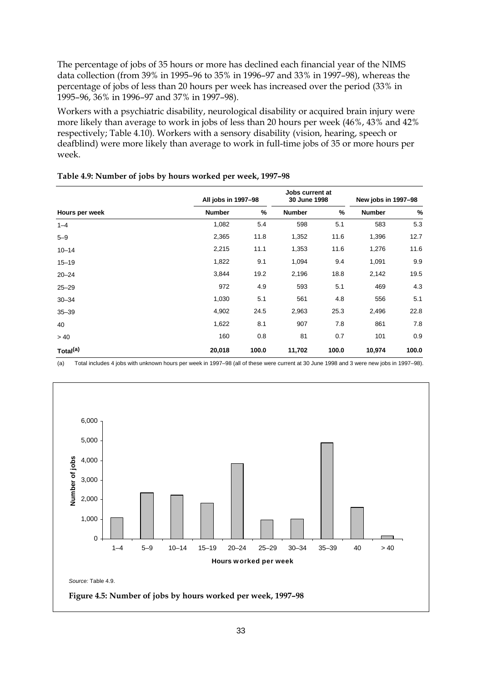The percentage of jobs of 35 hours or more has declined each financial year of the NIMS data collection (from 39% in 1995–96 to 35% in 1996–97 and 33% in 1997–98), whereas the percentage of jobs of less than 20 hours per week has increased over the period (33% in 1995–96, 36% in 1996–97 and 37% in 1997–98).

Workers with a psychiatric disability, neurological disability or acquired brain injury were more likely than average to work in jobs of less than 20 hours per week (46%, 43% and 42% respectively; Table 4.10). Workers with a sensory disability (vision, hearing, speech or deafblind) were more likely than average to work in full-time jobs of 35 or more hours per week.

|                      | All jobs in 1997-98 |       | Jobs current at<br>30 June 1998 |       | New jobs in 1997-98 |       |
|----------------------|---------------------|-------|---------------------------------|-------|---------------------|-------|
| Hours per week       | <b>Number</b>       | %     | <b>Number</b>                   | %     | <b>Number</b>       | $\%$  |
| $1 - 4$              | 1,082               | 5.4   | 598                             | 5.1   | 583                 | 5.3   |
| $5 - 9$              | 2,365               | 11.8  | 1,352                           | 11.6  | 1,396               | 12.7  |
| $10 - 14$            | 2,215               | 11.1  | 1,353                           | 11.6  | 1,276               | 11.6  |
| $15 - 19$            | 1,822               | 9.1   | 1,094                           | 9.4   | 1,091               | 9.9   |
| $20 - 24$            | 3,844               | 19.2  | 2,196                           | 18.8  | 2,142               | 19.5  |
| $25 - 29$            | 972                 | 4.9   | 593                             | 5.1   | 469                 | 4.3   |
| $30 - 34$            | 1,030               | 5.1   | 561                             | 4.8   | 556                 | 5.1   |
| $35 - 39$            | 4,902               | 24.5  | 2,963                           | 25.3  | 2,496               | 22.8  |
| 40                   | 1,622               | 8.1   | 907                             | 7.8   | 861                 | 7.8   |
| > 40                 | 160                 | 0.8   | 81                              | 0.7   | 101                 | 0.9   |
| Total <sup>(a)</sup> | 20,018              | 100.0 | 11,702                          | 100.0 | 10,974              | 100.0 |

(a) Total includes 4 jobs with unknown hours per week in 1997–98 (all of these were current at 30 June 1998 and 3 were new jobs in 1997–98).

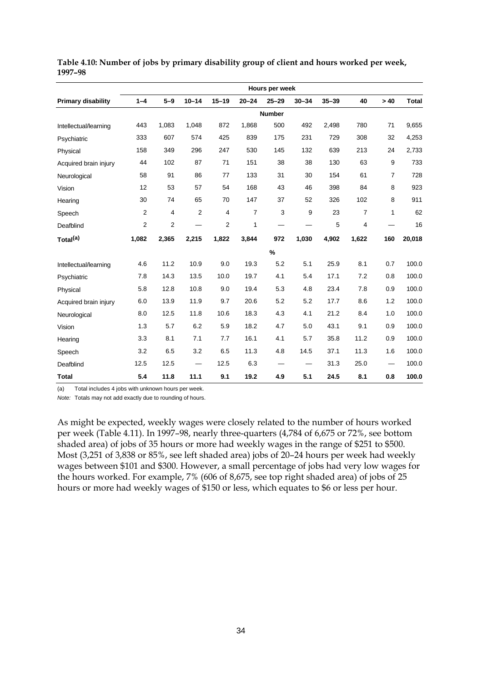|                           | Hours per week          |                |           |           |           |               |           |           |                |                |              |
|---------------------------|-------------------------|----------------|-----------|-----------|-----------|---------------|-----------|-----------|----------------|----------------|--------------|
| <b>Primary disability</b> | $1 - 4$                 | $5-9$          | $10 - 14$ | $15 - 19$ | $20 - 24$ | $25 - 29$     | $30 - 34$ | $35 - 39$ | 40             | >40            | <b>Total</b> |
|                           |                         |                |           |           |           | <b>Number</b> |           |           |                |                |              |
| Intellectual/learning     | 443                     | 1,083          | 1,048     | 872       | 1,868     | 500           | 492       | 2,498     | 780            | 71             | 9,655        |
| Psychiatric               | 333                     | 607            | 574       | 425       | 839       | 175           | 231       | 729       | 308            | 32             | 4,253        |
| Physical                  | 158                     | 349            | 296       | 247       | 530       | 145           | 132       | 639       | 213            | 24             | 2,733        |
| Acquired brain injury     | 44                      | 102            | 87        | 71        | 151       | 38            | 38        | 130       | 63             | 9              | 733          |
| Neurological              | 58                      | 91             | 86        | 77        | 133       | 31            | 30        | 154       | 61             | $\overline{7}$ | 728          |
| Vision                    | 12                      | 53             | 57        | 54        | 168       | 43            | 46        | 398       | 84             | 8              | 923          |
| Hearing                   | 30                      | 74             | 65        | 70        | 147       | 37            | 52        | 326       | 102            | 8              | 911          |
| Speech                    | 2                       | 4              | 2         | 4         | 7         | 3             | 9         | 23        | $\overline{7}$ | 1              | 62           |
| Deafblind                 | $\overline{\mathbf{c}}$ | $\overline{2}$ |           | 2         | 1         |               |           | 5         | 4              |                | 16           |
| Total <sup>(a)</sup>      | 1,082                   | 2,365          | 2,215     | 1,822     | 3,844     | 972           | 1,030     | 4.902     | 1,622          | 160            | 20,018       |
|                           |                         |                |           |           |           | $\%$          |           |           |                |                |              |
| Intellectual/learning     | 4.6                     | 11.2           | 10.9      | 9.0       | 19.3      | 5.2           | 5.1       | 25.9      | 8.1            | 0.7            | 100.0        |
| Psychiatric               | 7.8                     | 14.3           | 13.5      | 10.0      | 19.7      | 4.1           | 5.4       | 17.1      | 7.2            | 0.8            | 100.0        |
| Physical                  | 5.8                     | 12.8           | 10.8      | 9.0       | 19.4      | 5.3           | 4.8       | 23.4      | 7.8            | 0.9            | 100.0        |
| Acquired brain injury     | 6.0                     | 13.9           | 11.9      | 9.7       | 20.6      | 5.2           | 5.2       | 17.7      | 8.6            | 1.2            | 100.0        |
| Neurological              | 8.0                     | 12.5           | 11.8      | 10.6      | 18.3      | 4.3           | 4.1       | 21.2      | 8.4            | 1.0            | 100.0        |
| Vision                    | 1.3                     | 5.7            | 6.2       | 5.9       | 18.2      | 4.7           | 5.0       | 43.1      | 9.1            | 0.9            | 100.0        |
| Hearing                   | 3.3                     | 8.1            | 7.1       | 7.7       | 16.1      | 4.1           | 5.7       | 35.8      | 11.2           | 0.9            | 100.0        |
| Speech                    | 3.2                     | 6.5            | 3.2       | 6.5       | 11.3      | 4.8           | 14.5      | 37.1      | 11.3           | 1.6            | 100.0        |
| Deafblind                 | 12.5                    | 12.5           |           | 12.5      | 6.3       |               |           | 31.3      | 25.0           |                | 100.0        |
| Total                     | 5.4                     | 11.8           | 11.1      | 9.1       | 19.2      | 4.9           | 5.1       | 24.5      | 8.1            | 0.8            | 100.0        |

**Table 4.10: Number of jobs by primary disability group of client and hours worked per week, 1997–98**

(a) Total includes 4 jobs with unknown hours per week.

*Note:* Totals may not add exactly due to rounding of hours.

As might be expected, weekly wages were closely related to the number of hours worked per week (Table 4.11). In 1997–98, nearly three-quarters (4,784 of 6,675 or 72%, see bottom shaded area) of jobs of 35 hours or more had weekly wages in the range of \$251 to \$500. Most (3,251 of 3,838 or 85%, see left shaded area) jobs of 20–24 hours per week had weekly wages between \$101 and \$300. However, a small percentage of jobs had very low wages for the hours worked. For example, 7% (606 of 8,675, see top right shaded area) of jobs of 25 hours or more had weekly wages of \$150 or less, which equates to \$6 or less per hour.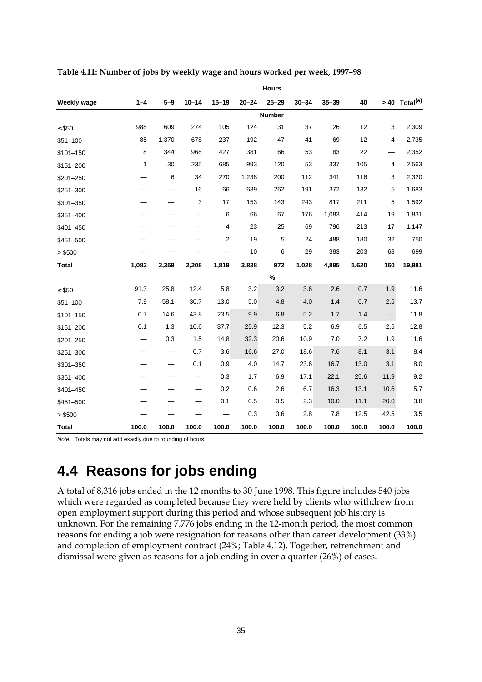|                    | <b>Hours</b> |                          |                           |           |           |             |           |           |       |       |                           |  |
|--------------------|--------------|--------------------------|---------------------------|-----------|-----------|-------------|-----------|-----------|-------|-------|---------------------------|--|
| <b>Weekly wage</b> | $1 - 4$      | $5 - 9$                  | $10 - 14$                 | $15 - 19$ | $20 - 24$ | $25 - 29$   | $30 - 34$ | $35 - 39$ | 40    |       | > 40 Total <sup>(a)</sup> |  |
|                    | Number       |                          |                           |           |           |             |           |           |       |       |                           |  |
| $≤$ \$50           | 988          | 609                      | 274                       | 105       | 124       | 31          | 37        | 126       | 12    | 3     | 2,309                     |  |
| $$51 - 100$        | 85           | 1,370                    | 678                       | 237       | 192       | 47          | 41        | 69        | 12    | 4     | 2,735                     |  |
| $$101 - 150$       | 8            | 344                      | 968                       | 427       | 381       | 66          | 53        | 83        | 22    |       | 2,352                     |  |
| $$151 - 200$       | 1            | 30                       | 235                       | 685       | 993       | 120         | 53        | 337       | 105   | 4     | 2,563                     |  |
| \$201-250          |              | 6                        | 34                        | 270       | 1,238     | 200         | 112       | 341       | 116   | 3     | 2,320                     |  |
| $$251 - 300$       |              |                          | 16                        | 66        | 639       | 262         | 191       | 372       | 132   | 5     | 1,683                     |  |
| \$301-350          |              |                          | $\ensuremath{\mathsf{3}}$ | 17        | 153       | 143         | 243       | 817       | 211   | 5     | 1,592                     |  |
| $$351 - 400$       |              | —                        |                           | 6         | 66        | 67          | 176       | 1,083     | 414   | 19    | 1,831                     |  |
| \$401-450          |              |                          |                           | 4         | 23        | 25          | 69        | 796       | 213   | 17    | 1,147                     |  |
| $$451 - 500$       |              |                          |                           | 2         | 19        | $\,$ 5 $\,$ | 24        | 488       | 180   | 32    | 750                       |  |
| > \$500            |              |                          |                           |           | 10        | 6           | 29        | 383       | 203   | 68    | 699                       |  |
| <b>Total</b>       | 1,082        | 2,359                    | 2,208                     | 1,819     | 3,838     | 972         | 1,028     | 4,895     | 1,620 | 160   | 19,981                    |  |
|                    |              |                          |                           |           |           | %           |           |           |       |       |                           |  |
| $≤$ \$50           | 91.3         | 25.8                     | 12.4                      | 5.8       | 3.2       | 3.2         | 3.6       | 2.6       | 0.7   | 1.9   | 11.6                      |  |
| $$51 - 100$        | 7.9          | 58.1                     | 30.7                      | 13.0      | 5.0       | 4.8         | 4.0       | 1.4       | 0.7   | 2.5   | 13.7                      |  |
| $$101 - 150$       | 0.7          | 14.6                     | 43.8                      | 23.5      | 9.9       | 6.8         | 5.2       | 1.7       | 1.4   |       | 11.8                      |  |
| $$151 - 200$       | 0.1          | 1.3                      | 10.6                      | 37.7      | 25.9      | 12.3        | 5.2       | 6.9       | 6.5   | 2.5   | 12.8                      |  |
| $$201 - 250$       |              | 0.3                      | 1.5                       | 14.8      | 32.3      | 20.6        | 10.9      | 7.0       | 7.2   | 1.9   | 11.6                      |  |
| $$251 - 300$       |              | $\overline{\phantom{0}}$ | 0.7                       | 3.6       | 16.6      | 27.0        | 18.6      | 7.6       | 8.1   | 3.1   | 8.4                       |  |
| $$301 - 350$       |              | $\overline{\phantom{0}}$ | 0.1                       | 0.9       | 4.0       | 14.7        | 23.6      | 16.7      | 13.0  | 3.1   | 8.0                       |  |
| $$351 - 400$       |              |                          |                           | 0.3       | 1.7       | 6.9         | 17.1      | 22.1      | 25.6  | 11.9  | 9.2                       |  |
| $$401 - 450$       |              |                          |                           | 0.2       | 0.6       | 2.6         | 6.7       | 16.3      | 13.1  | 10.6  | 5.7                       |  |
| \$451-500          |              |                          |                           | 0.1       | 0.5       | 0.5         | 2.3       | 10.0      | 11.1  | 20.0  | 3.8                       |  |
| > \$500            |              |                          |                           |           | 0.3       | 0.6         | 2.8       | 7.8       | 12.5  | 42.5  | 3.5                       |  |
| <b>Total</b>       | 100.0        | 100.0                    | 100.0                     | 100.0     | 100.0     | 100.0       | 100.0     | 100.0     | 100.0 | 100.0 | 100.0                     |  |

**Table 4.11: Number of jobs by weekly wage and hours worked per week, 1997–98**

*Note:* Totals may not add exactly due to rounding of hours.

# **4.4 Reasons for jobs ending**

A total of 8,316 jobs ended in the 12 months to 30 June 1998. This figure includes 540 jobs which were regarded as completed because they were held by clients who withdrew from open employment support during this period and whose subsequent job history is unknown. For the remaining 7,776 jobs ending in the 12-month period, the most common reasons for ending a job were resignation for reasons other than career development (33%) and completion of employment contract (24%; Table 4.12). Together, retrenchment and dismissal were given as reasons for a job ending in over a quarter (26%) of cases.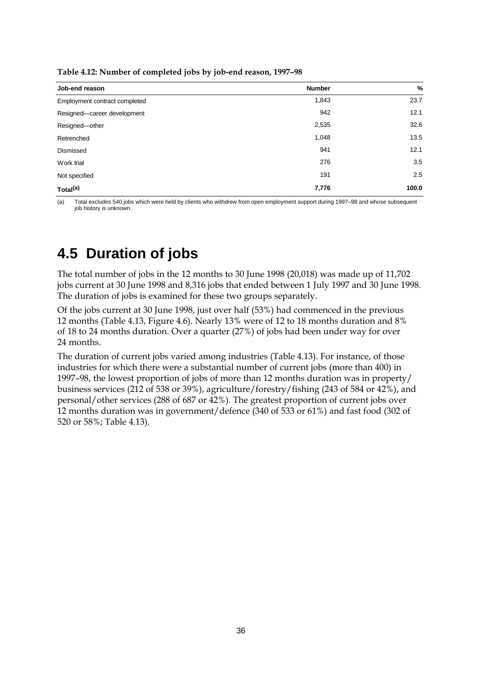| $\blacksquare$<br>J J         |               |       |
|-------------------------------|---------------|-------|
| Job-end reason                | <b>Number</b> | %     |
| Employment contract completed | 1,843         | 23.7  |
| Resigned-career development   | 942           | 12.1  |
| Resigned-other                | 2,535         | 32.6  |
| Retrenched                    | 1,048         | 13.5  |
| Dismissed                     | 941           | 12.1  |
| Work trial                    | 276           | 3.5   |
| Not specified                 | 191           | 2.5   |
| Total <sup>(a)</sup>          | 7,776         | 100.0 |

**Table 4.12: Number of completed jobs by job-end reason, 1997–98**

(a) Total excludes 540 jobs which were held by clients who withdrew from open employment support during 1997–98 and whose subsequent job history is unknown.

### **4.5 Duration of jobs**

The total number of jobs in the 12 months to 30 June 1998 (20,018) was made up of 11,702 jobs current at 30 June 1998 and 8,316 jobs that ended between 1 July 1997 and 30 June 1998. The duration of jobs is examined for these two groups separately.

Of the jobs current at 30 June 1998, just over half (53%) had commenced in the previous 12 months (Table 4.13, Figure 4.6). Nearly 13% were of 12 to 18 months duration and 8% of 18 to 24 months duration. Over a quarter (27%) of jobs had been under way for over 24 months.

The duration of current jobs varied among industries (Table 4.13). For instance, of those industries for which there were a substantial number of current jobs (more than 400) in 1997–98, the lowest proportion of jobs of more than 12 months duration was in property/ business services (212 of 538 or 39%), agriculture/forestry/fishing (243 of 584 or 42%), and personal/other services (288 of 687 or 42%). The greatest proportion of current jobs over 12 months duration was in government/defence (340 of 533 or 61%) and fast food (302 of 520 or 58%; Table 4.13).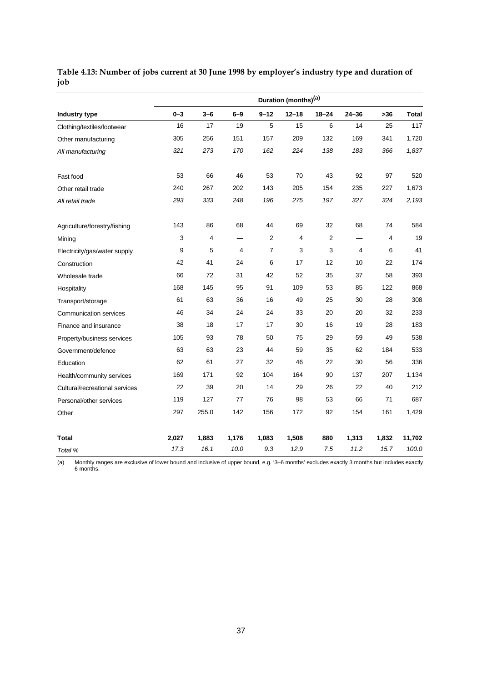|                                | Duration (months) <sup>(a)</sup> |         |                |                |           |                |           |       |              |  |  |
|--------------------------------|----------------------------------|---------|----------------|----------------|-----------|----------------|-----------|-------|--------------|--|--|
| <b>Industry type</b>           | $0 - 3$                          | $3 - 6$ | $6 - 9$        | $9 - 12$       | $12 - 18$ | $18 - 24$      | $24 - 36$ | $>36$ | <b>Total</b> |  |  |
| Clothing/textiles/footwear     | 16                               | 17      | 19             | 5              | 15        | 6              | 14        | 25    | 117          |  |  |
| Other manufacturing            | 305                              | 256     | 151            | 157            | 209       | 132            | 169       | 341   | 1,720        |  |  |
| All manufacturing              | 321                              | 273     | 170            | 162            | 224       | 138            | 183       | 366   | 1,837        |  |  |
| Fast food                      | 53                               | 66      | 46             | 53             | 70        | 43             | 92        | 97    | 520          |  |  |
| Other retail trade             | 240                              | 267     | 202            | 143            | 205       | 154            | 235       | 227   | 1,673        |  |  |
| All retail trade               | 293                              | 333     | 248            | 196            | 275       | 197            | 327       | 324   | 2,193        |  |  |
| Agriculture/forestry/fishing   | 143                              | 86      | 68             | 44             | 69        | 32             | 68        | 74    | 584          |  |  |
| Mining                         | 3                                | 4       |                | $\sqrt{2}$     | 4         | $\overline{2}$ |           | 4     | 19           |  |  |
| Electricity/gas/water supply   | 9                                | 5       | $\overline{4}$ | $\overline{7}$ | 3         | 3              | 4         | 6     | 41           |  |  |
| Construction                   | 42                               | 41      | 24             | 6              | 17        | 12             | 10        | 22    | 174          |  |  |
| Wholesale trade                | 66                               | 72      | 31             | 42             | 52        | 35             | 37        | 58    | 393          |  |  |
| Hospitality                    | 168                              | 145     | 95             | 91             | 109       | 53             | 85        | 122   | 868          |  |  |
| Transport/storage              | 61                               | 63      | 36             | 16             | 49        | 25             | 30        | 28    | 308          |  |  |
| <b>Communication services</b>  | 46                               | 34      | 24             | 24             | 33        | 20             | 20        | 32    | 233          |  |  |
| Finance and insurance          | 38                               | 18      | 17             | 17             | 30        | 16             | 19        | 28    | 183          |  |  |
| Property/business services     | 105                              | 93      | 78             | 50             | 75        | 29             | 59        | 49    | 538          |  |  |
| Government/defence             | 63                               | 63      | 23             | 44             | 59        | 35             | 62        | 184   | 533          |  |  |
| Education                      | 62                               | 61      | 27             | 32             | 46        | 22             | 30        | 56    | 336          |  |  |
| Health/community services      | 169                              | 171     | 92             | 104            | 164       | 90             | 137       | 207   | 1,134        |  |  |
| Cultural/recreational services | 22                               | 39      | 20             | 14             | 29        | 26             | 22        | 40    | 212          |  |  |
| Personal/other services        | 119                              | 127     | 77             | 76             | 98        | 53             | 66        | 71    | 687          |  |  |
| Other                          | 297                              | 255.0   | 142            | 156            | 172       | 92             | 154       | 161   | 1,429        |  |  |
| <b>Total</b>                   | 2,027                            | 1,883   | 1,176          | 1,083          | 1,508     | 880            | 1,313     | 1,832 | 11,702       |  |  |
| Total %                        | 17.3                             | 16.1    | 10.0           | 9.3            | 12.9      | 7.5            | 11.2      | 15.7  | 100.0        |  |  |

### **Table 4.13: Number of jobs current at 30 June 1998 by employer's industry type and duration of job**

(a) Monthly ranges are exclusive of lower bound and inclusive of upper bound, e.g. '3–6 months' excludes exactly 3 months but includes exactly 6 months.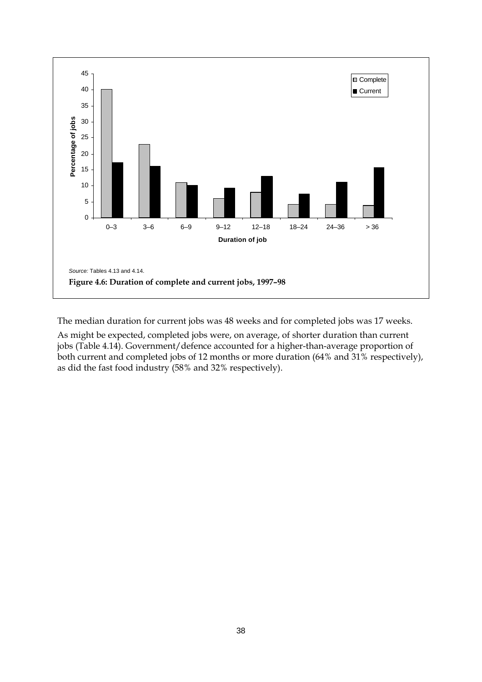

The median duration for current jobs was 48 weeks and for completed jobs was 17 weeks.

As might be expected, completed jobs were, on average, of shorter duration than current jobs (Table 4.14). Government/defence accounted for a higher-than-average proportion of both current and completed jobs of 12 months or more duration (64% and 31% respectively), as did the fast food industry (58% and 32% respectively).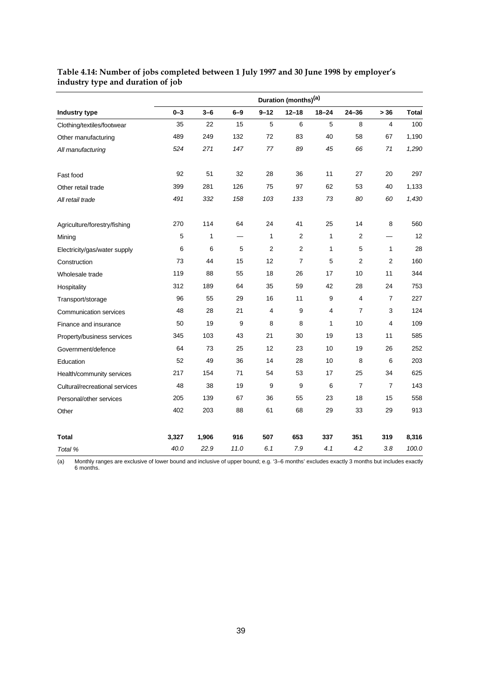|                                | Duration (months) <sup>(a)</sup> |       |         |                |                |           |                |                |              |  |  |
|--------------------------------|----------------------------------|-------|---------|----------------|----------------|-----------|----------------|----------------|--------------|--|--|
| Industry type                  | $0 - 3$                          | $3-6$ | $6 - 9$ | $9 - 12$       | $12 - 18$      | $18 - 24$ | $24 - 36$      | > 36           | <b>Total</b> |  |  |
| Clothing/textiles/footwear     | 35                               | 22    | 15      | 5              | 6              | 5         | 8              | 4              | 100          |  |  |
| Other manufacturing            | 489                              | 249   | 132     | 72             | 83             | 40        | 58             | 67             | 1,190        |  |  |
| All manufacturing              | 524                              | 271   | 147     | 77             | 89             | 45        | 66             | 71             | 1,290        |  |  |
| Fast food                      | 92                               | 51    | 32      | 28             | 36             | 11        | 27             | 20             | 297          |  |  |
| Other retail trade             | 399                              | 281   | 126     | 75             | 97             | 62        | 53             | 40             | 1,133        |  |  |
| All retail trade               | 491                              | 332   | 158     | 103            | 133            | 73        | 80             | 60             | 1,430        |  |  |
| Agriculture/forestry/fishing   | 270                              | 114   | 64      | 24             | 41             | 25        | 14             | 8              | 560          |  |  |
| Mining                         | 5                                | 1     |         | $\mathbf{1}$   | $\sqrt{2}$     | 1         | 2              |                | 12           |  |  |
| Electricity/gas/water supply   | 6                                | 6     | 5       | $\overline{2}$ | $\overline{2}$ | 1         | 5              | 1              | 28           |  |  |
| Construction                   | 73                               | 44    | 15      | 12             | $\overline{7}$ | 5         | $\overline{2}$ | $\overline{2}$ | 160          |  |  |
| Wholesale trade                | 119                              | 88    | 55      | 18             | 26             | 17        | 10             | 11             | 344          |  |  |
| Hospitality                    | 312                              | 189   | 64      | 35             | 59             | 42        | 28             | 24             | 753          |  |  |
| Transport/storage              | 96                               | 55    | 29      | 16             | 11             | 9         | 4              | $\overline{7}$ | 227          |  |  |
| <b>Communication services</b>  | 48                               | 28    | 21      | $\overline{4}$ | 9              | 4         | 7              | 3              | 124          |  |  |
| Finance and insurance          | 50                               | 19    | 9       | 8              | 8              | 1         | 10             | 4              | 109          |  |  |
| Property/business services     | 345                              | 103   | 43      | 21             | 30             | 19        | 13             | 11             | 585          |  |  |
| Government/defence             | 64                               | 73    | 25      | 12             | 23             | 10        | 19             | 26             | 252          |  |  |
| Education                      | 52                               | 49    | 36      | 14             | 28             | 10        | 8              | 6              | 203          |  |  |
| Health/community services      | 217                              | 154   | 71      | 54             | 53             | 17        | 25             | 34             | 625          |  |  |
| Cultural/recreational services | 48                               | 38    | 19      | 9              | 9              | 6         | $\overline{7}$ | $\overline{7}$ | 143          |  |  |
| Personal/other services        | 205                              | 139   | 67      | 36             | 55             | 23        | 18             | 15             | 558          |  |  |
| Other                          | 402                              | 203   | 88      | 61             | 68             | 29        | 33             | 29             | 913          |  |  |
| <b>Total</b>                   | 3,327                            | 1,906 | 916     | 507            | 653            | 337       | 351            | 319            | 8,316        |  |  |
| Total %                        | 40.0                             | 22.9  | 11.0    | 6.1            | 7.9            | 4.1       | 4.2            | 3.8            | 100.0        |  |  |

#### **Table 4.14: Number of jobs completed between 1 July 1997 and 30 June 1998 by employer's industry type and duration of job**

(a) Monthly ranges are exclusive of lower bound and inclusive of upper bound; e.g. '3–6 months' excludes exactly 3 months but includes exactly 6 months.